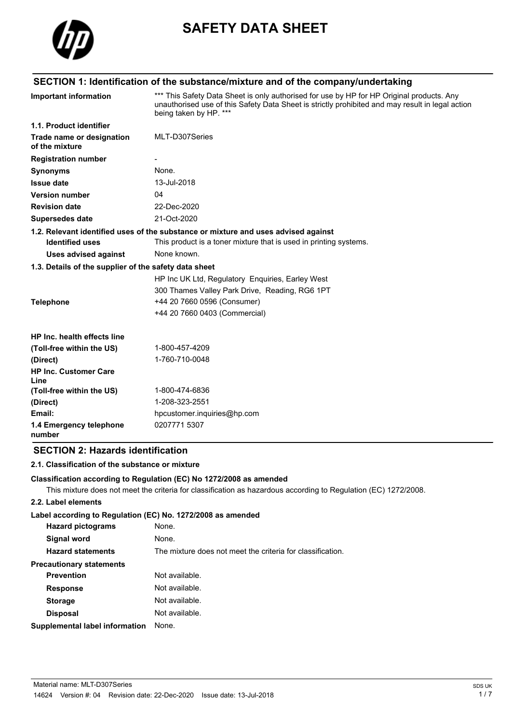

# **SAFETY DATA SHEET**

# **SECTION 1: Identification of the substance/mixture and of the company/undertaking**

| <b>Important information</b>                          | *** This Safety Data Sheet is only authorised for use by HP for HP Original products. Any<br>unauthorised use of this Safety Data Sheet is strictly prohibited and may result in legal action<br>being taken by HP. *** |
|-------------------------------------------------------|-------------------------------------------------------------------------------------------------------------------------------------------------------------------------------------------------------------------------|
| 1.1. Product identifier                               |                                                                                                                                                                                                                         |
| Trade name or designation<br>of the mixture           | MLT-D307Series                                                                                                                                                                                                          |
| <b>Registration number</b>                            |                                                                                                                                                                                                                         |
| <b>Synonyms</b>                                       | None.                                                                                                                                                                                                                   |
| <b>Issue date</b>                                     | 13-Jul-2018                                                                                                                                                                                                             |
| <b>Version number</b>                                 | 04                                                                                                                                                                                                                      |
| <b>Revision date</b>                                  | 22-Dec-2020                                                                                                                                                                                                             |
| <b>Supersedes date</b>                                | 21-Oct-2020                                                                                                                                                                                                             |
|                                                       | 1.2. Relevant identified uses of the substance or mixture and uses advised against                                                                                                                                      |
| <b>Identified uses</b>                                | This product is a toner mixture that is used in printing systems.                                                                                                                                                       |
| <b>Uses advised against</b>                           | None known.                                                                                                                                                                                                             |
| 1.3. Details of the supplier of the safety data sheet |                                                                                                                                                                                                                         |
|                                                       | HP Inc UK Ltd, Regulatory Enquiries, Earley West                                                                                                                                                                        |
|                                                       | 300 Thames Valley Park Drive, Reading, RG6 1PT                                                                                                                                                                          |
| <b>Telephone</b>                                      | +44 20 7660 0596 (Consumer)                                                                                                                                                                                             |
|                                                       | +44 20 7660 0403 (Commercial)                                                                                                                                                                                           |
| HP Inc. health effects line                           |                                                                                                                                                                                                                         |
| (Toll-free within the US)                             | 1-800-457-4209                                                                                                                                                                                                          |
| (Direct)                                              | 1-760-710-0048                                                                                                                                                                                                          |
| <b>HP Inc. Customer Care</b><br>Line                  |                                                                                                                                                                                                                         |
| (Toll-free within the US)                             | 1-800-474-6836                                                                                                                                                                                                          |
| (Direct)                                              | 1-208-323-2551                                                                                                                                                                                                          |
| Email:                                                | hpcustomer.inquiries@hp.com                                                                                                                                                                                             |
| 1.4 Emergency telephone<br>number                     | 0207771 5307                                                                                                                                                                                                            |

# **SECTION 2: Hazards identification**

# **2.1. Classification of the substance or mixture**

#### **Classification according to Regulation (EC) No 1272/2008 as amended**

This mixture does not meet the criteria for classification as hazardous according to Regulation (EC) 1272/2008.

#### **2.2. Label elements**

#### **Label according to Regulation (EC) No. 1272/2008 as amended**

| <b>Hazard pictograms</b>        | None.                                                      |
|---------------------------------|------------------------------------------------------------|
| Signal word                     | None.                                                      |
| <b>Hazard statements</b>        | The mixture does not meet the criteria for classification. |
| <b>Precautionary statements</b> |                                                            |
| <b>Prevention</b>               | Not available.                                             |
| <b>Response</b>                 | Not available.                                             |
| <b>Storage</b>                  | Not available.                                             |
| <b>Disposal</b>                 | Not available.                                             |
| Supplemental label information  | None.                                                      |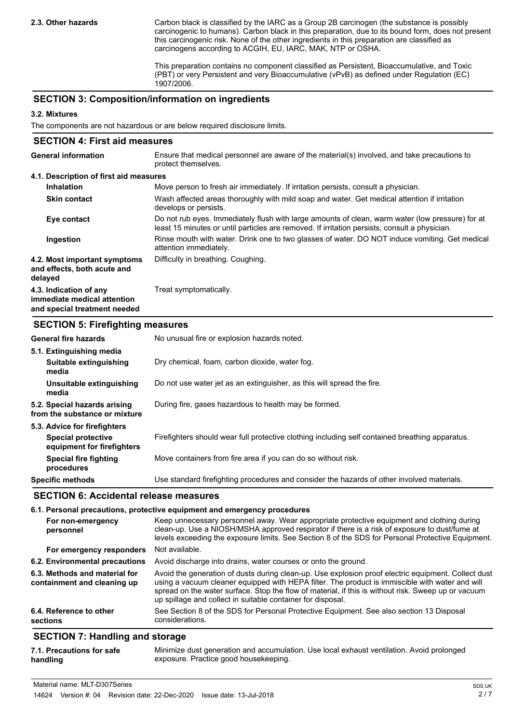Carbon black is classified by the IARC as a Group 2B carcinogen (the substance is possibly carcinogenic to humans). Carbon black in this preparation, due to its bound form, does not present this carcinogenic risk. None of the other ingredients in this preparation are classified as carcinogens according to ACGIH, EU, IARC, MAK, NTP or OSHA.

This preparation contains no component classified as Persistent, Bioaccumulative, and Toxic (PBT) or very Persistent and very Bioaccumulative (vPvB) as defined under Regulation (EC) 1907/2006.

# **SECTION 3: Composition/information on ingredients**

#### **3.2. Mixtures**

The components are not hazardous or are below required disclosure limits.

| <b>SECTION 4: First aid measures</b>                                                  |                                                                                                                                                                                                   |
|---------------------------------------------------------------------------------------|---------------------------------------------------------------------------------------------------------------------------------------------------------------------------------------------------|
| <b>General information</b>                                                            | Ensure that medical personnel are aware of the material(s) involved, and take precautions to<br>protect themselves.                                                                               |
| 4.1. Description of first aid measures                                                |                                                                                                                                                                                                   |
| <b>Inhalation</b>                                                                     | Move person to fresh air immediately. If irritation persists, consult a physician.                                                                                                                |
| <b>Skin contact</b>                                                                   | Wash affected areas thoroughly with mild soap and water. Get medical attention if irritation<br>develops or persists.                                                                             |
| Eye contact                                                                           | Do not rub eyes. Immediately flush with large amounts of clean, warm water (low pressure) for at<br>least 15 minutes or until particles are removed. If irritation persists, consult a physician. |
| Ingestion                                                                             | Rinse mouth with water. Drink one to two glasses of water. DO NOT induce vomiting. Get medical<br>attention immediately.                                                                          |
| 4.2. Most important symptoms<br>and effects, both acute and<br>delayed                | Difficulty in breathing. Coughing.                                                                                                                                                                |
| 4.3. Indication of any<br>immediate medical attention<br>and special treatment needed | Treat symptomatically.                                                                                                                                                                            |

### **SECTION 5: Firefighting measures**

| <b>General fire hazards</b>                                   | No unusual fire or explosion hazards noted.                                                     |
|---------------------------------------------------------------|-------------------------------------------------------------------------------------------------|
| 5.1. Extinguishing media                                      |                                                                                                 |
| Suitable extinguishing<br>media                               | Dry chemical, foam, carbon dioxide, water fog.                                                  |
| Unsuitable extinguishing<br>media                             | Do not use water jet as an extinguisher, as this will spread the fire.                          |
| 5.2. Special hazards arising<br>from the substance or mixture | During fire, gases hazardous to health may be formed.                                           |
| 5.3. Advice for firefighters                                  |                                                                                                 |
| <b>Special protective</b><br>equipment for firefighters       | Firefighters should wear full protective clothing including self contained breathing apparatus. |
| <b>Special fire fighting</b><br>procedures                    | Move containers from fire area if you can do so without risk.                                   |
| <b>Specific methods</b>                                       | Use standard firefighting procedures and consider the hazards of other involved materials.      |

# **SECTION 6: Accidental release measures**

|                                                              | 6.1. Personal precautions, protective equipment and emergency procedures                                                                                                                                                                                                                                                                                                     |
|--------------------------------------------------------------|------------------------------------------------------------------------------------------------------------------------------------------------------------------------------------------------------------------------------------------------------------------------------------------------------------------------------------------------------------------------------|
| For non-emergency<br>personnel                               | Keep unnecessary personnel away. Wear appropriate protective equipment and clothing during<br>clean-up. Use a NIOSH/MSHA approved respirator if there is a risk of exposure to dust/fume at<br>levels exceeding the exposure limits. See Section 8 of the SDS for Personal Protective Equipment.                                                                             |
| For emergency responders                                     | Not available.                                                                                                                                                                                                                                                                                                                                                               |
| 6.2. Environmental precautions                               | Avoid discharge into drains, water courses or onto the ground.                                                                                                                                                                                                                                                                                                               |
| 6.3. Methods and material for<br>containment and cleaning up | Avoid the generation of dusts during clean-up. Use explosion proof electric equipment. Collect dust<br>using a vacuum cleaner equipped with HEPA filter. The product is immiscible with water and will<br>spread on the water surface. Stop the flow of material, if this is without risk. Sweep up or vacuum<br>up spillage and collect in suitable container for disposal. |
| 6.4. Reference to other<br>sections                          | See Section 8 of the SDS for Personal Protective Equipment. See also section 13 Disposal<br>considerations.                                                                                                                                                                                                                                                                  |
| <b>OFOTION 7. Herealth are all advanced</b>                  |                                                                                                                                                                                                                                                                                                                                                                              |

# **SECTION 7: Handling and storage**

| 7.1. Precautions for safe | Minimize dust generation and accumulation. Use local exhaust ventilation. Avoid prolonged |
|---------------------------|-------------------------------------------------------------------------------------------|
| handling                  | exposure. Practice good housekeeping.                                                     |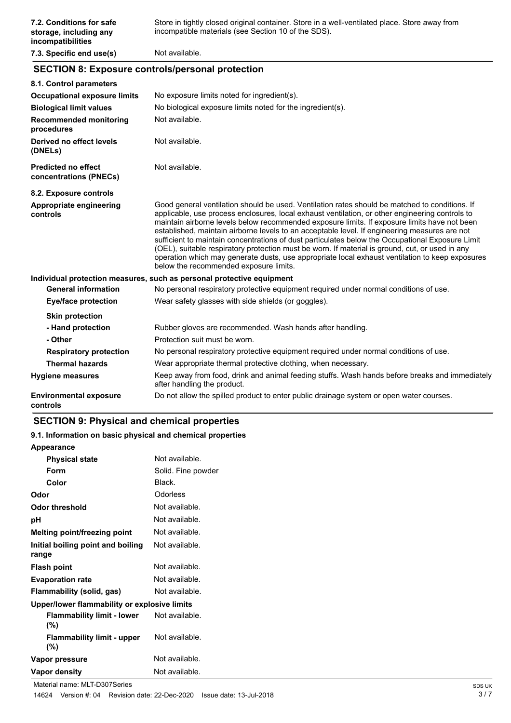# **SECTION 8: Exposure controls/personal protection**

| 8.1. Control parameters                              |                                                                                                                                                                                                                                                                                                                                                                                                                                                                                                                                                                                                                                                                                                                                                        |
|------------------------------------------------------|--------------------------------------------------------------------------------------------------------------------------------------------------------------------------------------------------------------------------------------------------------------------------------------------------------------------------------------------------------------------------------------------------------------------------------------------------------------------------------------------------------------------------------------------------------------------------------------------------------------------------------------------------------------------------------------------------------------------------------------------------------|
| <b>Occupational exposure limits</b>                  | No exposure limits noted for ingredient(s).                                                                                                                                                                                                                                                                                                                                                                                                                                                                                                                                                                                                                                                                                                            |
| <b>Biological limit values</b>                       | No biological exposure limits noted for the ingredient(s).                                                                                                                                                                                                                                                                                                                                                                                                                                                                                                                                                                                                                                                                                             |
| <b>Recommended monitoring</b><br>procedures          | Not available.                                                                                                                                                                                                                                                                                                                                                                                                                                                                                                                                                                                                                                                                                                                                         |
| Derived no effect levels<br>(DNELs)                  | Not available.                                                                                                                                                                                                                                                                                                                                                                                                                                                                                                                                                                                                                                                                                                                                         |
| <b>Predicted no effect</b><br>concentrations (PNECs) | Not available.                                                                                                                                                                                                                                                                                                                                                                                                                                                                                                                                                                                                                                                                                                                                         |
| 8.2. Exposure controls                               |                                                                                                                                                                                                                                                                                                                                                                                                                                                                                                                                                                                                                                                                                                                                                        |
| Appropriate engineering<br>controls                  | Good general ventilation should be used. Ventilation rates should be matched to conditions. If<br>applicable, use process enclosures, local exhaust ventilation, or other engineering controls to<br>maintain airborne levels below recommended exposure limits. If exposure limits have not been<br>established, maintain airborne levels to an acceptable level. If engineering measures are not<br>sufficient to maintain concentrations of dust particulates below the Occupational Exposure Limit<br>(OEL), suitable respiratory protection must be worn. If material is ground, cut, or used in any<br>operation which may generate dusts, use appropriate local exhaust ventilation to keep exposures<br>below the recommended exposure limits. |
|                                                      | Individual protection measures, such as personal protective equipment                                                                                                                                                                                                                                                                                                                                                                                                                                                                                                                                                                                                                                                                                  |
| <b>General information</b>                           | No personal respiratory protective equipment required under normal conditions of use.                                                                                                                                                                                                                                                                                                                                                                                                                                                                                                                                                                                                                                                                  |
| <b>Eye/face protection</b>                           | Wear safety glasses with side shields (or goggles).                                                                                                                                                                                                                                                                                                                                                                                                                                                                                                                                                                                                                                                                                                    |
| <b>Skin protection</b>                               |                                                                                                                                                                                                                                                                                                                                                                                                                                                                                                                                                                                                                                                                                                                                                        |
| - Hand protection                                    | Rubber gloves are recommended. Wash hands after handling.                                                                                                                                                                                                                                                                                                                                                                                                                                                                                                                                                                                                                                                                                              |
| - Other                                              | Protection suit must be worn.                                                                                                                                                                                                                                                                                                                                                                                                                                                                                                                                                                                                                                                                                                                          |
| <b>Respiratory protection</b>                        | No personal respiratory protective equipment required under normal conditions of use.                                                                                                                                                                                                                                                                                                                                                                                                                                                                                                                                                                                                                                                                  |
| <b>Thermal hazards</b>                               | Wear appropriate thermal protective clothing, when necessary.                                                                                                                                                                                                                                                                                                                                                                                                                                                                                                                                                                                                                                                                                          |
| <b>Hygiene measures</b>                              | Keep away from food, drink and animal feeding stuffs. Wash hands before breaks and immediately<br>after handling the product.                                                                                                                                                                                                                                                                                                                                                                                                                                                                                                                                                                                                                          |
| <b>Environmental exposure</b><br>controls            | Do not allow the spilled product to enter public drainage system or open water courses.                                                                                                                                                                                                                                                                                                                                                                                                                                                                                                                                                                                                                                                                |

# **SECTION 9: Physical and chemical properties**

**Appearance**

#### **9.1. Information on basic physical and chemical properties**

| <b>Physical state</b>                        | Not available.     |
|----------------------------------------------|--------------------|
| Form                                         | Solid. Fine powder |
| Color                                        | Black.             |
| Odor                                         | Odorless           |
| Odor threshold                               | Not available.     |
| рH                                           | Not available.     |
| Melting point/freezing point                 | Not available.     |
| Initial boiling point and boiling<br>range   | Not available.     |
| <b>Flash point</b>                           | Not available.     |
| <b>Evaporation rate</b>                      | Not available.     |
| Flammability (solid, gas)                    | Not available.     |
| Upper/lower flammability or explosive limits |                    |
| <b>Flammability limit - lower</b><br>(%)     | Not available.     |
| <b>Flammability limit - upper</b><br>(%)     | Not available.     |
| Vapor pressure                               | Not available.     |
| Vapor density                                | Not available.     |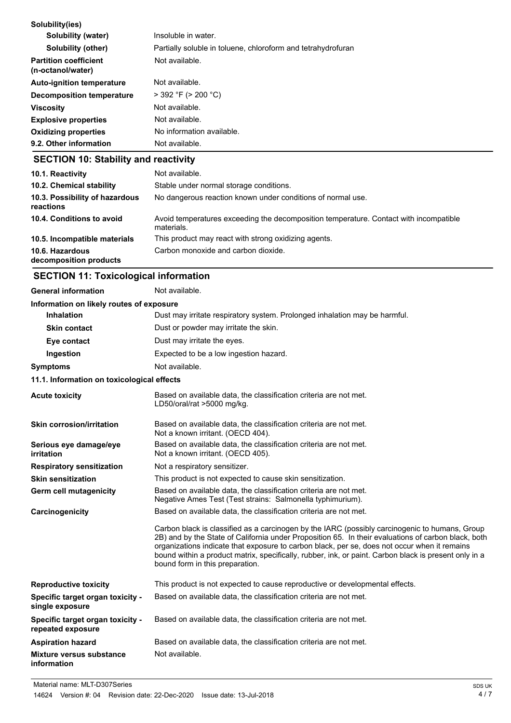| 9.2. Other information                            | Not available.                                               |
|---------------------------------------------------|--------------------------------------------------------------|
| <b>Oxidizing properties</b>                       | No information available.                                    |
| <b>Explosive properties</b>                       | Not available.                                               |
| <b>Viscosity</b>                                  | Not available.                                               |
| Decomposition temperature                         | $>$ 392 °F ( $>$ 200 °C)                                     |
| <b>Auto-ignition temperature</b>                  | Not available.                                               |
| <b>Partition coefficient</b><br>(n-octanol/water) | Not available.                                               |
| <b>Solubility (other)</b>                         | Partially soluble in toluene, chloroform and tetrahydrofuran |
| <b>Solubility (water)</b>                         | Insoluble in water.                                          |
| Solubility(ies)                                   |                                                              |

# **SECTION 10: Stability and reactivity**

| 10.1. Reactivity<br>10.2. Chemical stability<br>10.3. Possibility of hazardous<br>reactions | Not available.<br>Stable under normal storage conditions.<br>No dangerous reaction known under conditions of normal use. |
|---------------------------------------------------------------------------------------------|--------------------------------------------------------------------------------------------------------------------------|
| 10.4. Conditions to avoid                                                                   | Avoid temperatures exceeding the decomposition temperature. Contact with incompatible<br>materials.                      |
| 10.5. Incompatible materials                                                                | This product may react with strong oxidizing agents.                                                                     |
| 10.6. Hazardous<br>decomposition products                                                   | Carbon monoxide and carbon dioxide.                                                                                      |

# **SECTION 11: Toxicological information**

| <b>General information</b>                            | Not available.                                                                                                                                                                                                                                                                                                                                                                                                                                    |
|-------------------------------------------------------|---------------------------------------------------------------------------------------------------------------------------------------------------------------------------------------------------------------------------------------------------------------------------------------------------------------------------------------------------------------------------------------------------------------------------------------------------|
| Information on likely routes of exposure              |                                                                                                                                                                                                                                                                                                                                                                                                                                                   |
| <b>Inhalation</b>                                     | Dust may irritate respiratory system. Prolonged inhalation may be harmful.                                                                                                                                                                                                                                                                                                                                                                        |
| <b>Skin contact</b>                                   | Dust or powder may irritate the skin.                                                                                                                                                                                                                                                                                                                                                                                                             |
| Eye contact                                           | Dust may irritate the eyes.                                                                                                                                                                                                                                                                                                                                                                                                                       |
| Ingestion                                             | Expected to be a low ingestion hazard.                                                                                                                                                                                                                                                                                                                                                                                                            |
| <b>Symptoms</b>                                       | Not available.                                                                                                                                                                                                                                                                                                                                                                                                                                    |
| 11.1. Information on toxicological effects            |                                                                                                                                                                                                                                                                                                                                                                                                                                                   |
| <b>Acute toxicity</b>                                 | Based on available data, the classification criteria are not met.<br>LD50/oral/rat >5000 mg/kg.                                                                                                                                                                                                                                                                                                                                                   |
| <b>Skin corrosion/irritation</b>                      | Based on available data, the classification criteria are not met.<br>Not a known irritant. (OECD 404).                                                                                                                                                                                                                                                                                                                                            |
| Serious eye damage/eye<br><b>irritation</b>           | Based on available data, the classification criteria are not met.<br>Not a known irritant. (OECD 405).                                                                                                                                                                                                                                                                                                                                            |
| <b>Respiratory sensitization</b>                      | Not a respiratory sensitizer.                                                                                                                                                                                                                                                                                                                                                                                                                     |
| <b>Skin sensitization</b>                             | This product is not expected to cause skin sensitization.                                                                                                                                                                                                                                                                                                                                                                                         |
| <b>Germ cell mutagenicity</b>                         | Based on available data, the classification criteria are not met.<br>Negative Ames Test (Test strains: Salmonella typhimurium).                                                                                                                                                                                                                                                                                                                   |
| Carcinogenicity                                       | Based on available data, the classification criteria are not met.                                                                                                                                                                                                                                                                                                                                                                                 |
|                                                       | Carbon black is classified as a carcinogen by the IARC (possibly carcinogenic to humans, Group<br>2B) and by the State of California under Proposition 65. In their evaluations of carbon black, both<br>organizations indicate that exposure to carbon black, per se, does not occur when it remains<br>bound within a product matrix, specifically, rubber, ink, or paint. Carbon black is present only in a<br>bound form in this preparation. |
| <b>Reproductive toxicity</b>                          | This product is not expected to cause reproductive or developmental effects.                                                                                                                                                                                                                                                                                                                                                                      |
| Specific target organ toxicity -<br>single exposure   | Based on available data, the classification criteria are not met.                                                                                                                                                                                                                                                                                                                                                                                 |
| Specific target organ toxicity -<br>repeated exposure | Based on available data, the classification criteria are not met.                                                                                                                                                                                                                                                                                                                                                                                 |
| <b>Aspiration hazard</b>                              | Based on available data, the classification criteria are not met.                                                                                                                                                                                                                                                                                                                                                                                 |
| <b>Mixture versus substance</b><br>information        | Not available.                                                                                                                                                                                                                                                                                                                                                                                                                                    |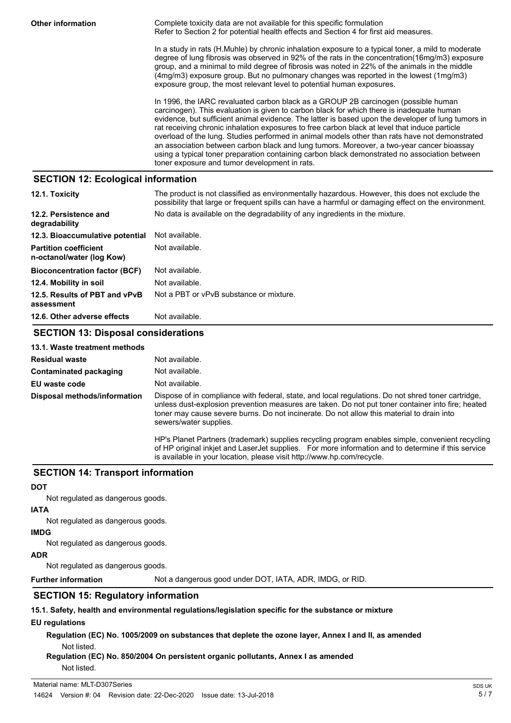**Other information Complete toxicity data are not available for this specific formulation** Refer to Section 2 for potential health effects and Section 4 for first aid measures.

> In a study in rats (H.Muhle) by chronic inhalation exposure to a typical toner, a mild to moderate degree of lung fibrosis was observed in 92% of the rats in the concentration(16mg/m3) exposure group, and a minimal to mild degree of fibrosis was noted in 22% of the animals in the middle (4mg/m3) exposure group. But no pulmonary changes was reported in the lowest (1mg/m3) exposure group, the most relevant level to potential human exposures.

> In 1996, the IARC revaluated carbon black as a GROUP 2B carcinogen (possible human carcinogen). This evaluation is given to carbon black for which there is inadequate human evidence, but sufficient animal evidence. The latter is based upon the developer of lung tumors in rat receiving chronic inhalation exposures to free carbon black at level that induce particle overload of the lung. Studies performed in animal models other than rats have not demonstrated an association between carbon black and lung tumors. Moreover, a two-year cancer bioassay using a typical toner preparation containing carbon black demonstrated no association between toner exposure and tumor development in rats.

# **SECTION 12: Ecological information**

| 12.1. Toxicity                                            | The product is not classified as environmentally hazardous. However, this does not exclude the<br>possibility that large or frequent spills can have a harmful or damaging effect on the environment. |
|-----------------------------------------------------------|-------------------------------------------------------------------------------------------------------------------------------------------------------------------------------------------------------|
| 12.2. Persistence and<br>degradability                    | No data is available on the degradability of any ingredients in the mixture.                                                                                                                          |
| 12.3. Bioaccumulative potential                           | Not available.                                                                                                                                                                                        |
| <b>Partition coefficient</b><br>n-octanol/water (log Kow) | Not available.                                                                                                                                                                                        |
| <b>Bioconcentration factor (BCF)</b>                      | Not available.                                                                                                                                                                                        |
| 12.4. Mobility in soil                                    | Not available.                                                                                                                                                                                        |
| 12.5. Results of PBT and vPvB<br>assessment               | Not a PBT or vPvB substance or mixture.                                                                                                                                                               |
| 12.6. Other adverse effects                               | Not available.                                                                                                                                                                                        |

# **SECTION 13: Disposal considerations**

| 13.1. Waste treatment methods |                                                                                                                                                                                                                                                                                                                                |
|-------------------------------|--------------------------------------------------------------------------------------------------------------------------------------------------------------------------------------------------------------------------------------------------------------------------------------------------------------------------------|
| <b>Residual waste</b>         | Not available.                                                                                                                                                                                                                                                                                                                 |
| Contaminated packaging        | Not available.                                                                                                                                                                                                                                                                                                                 |
| EU waste code                 | Not available.                                                                                                                                                                                                                                                                                                                 |
| Disposal methods/information  | Dispose of in compliance with federal, state, and local regulations. Do not shred toner cartridge,<br>unless dust-explosion prevention measures are taken. Do not put toner container into fire; heated<br>toner may cause severe burns. Do not incinerate. Do not allow this material to drain into<br>sewers/water supplies. |
|                               | HP's Planet Partners (trademark) supplies recycling program enables simple, convenient recycling<br>of HP original inkiet and LaserJet supplies. For more information and to determine if this service<br>is available in your location, please visit http://www.hp.com/recycle.                                               |

# **SECTION 14: Transport information**

#### **DOT**

Not regulated as dangerous goods.

# **IATA**

Not regulated as dangerous goods.

#### **IMDG**

Not regulated as dangerous goods.

#### **ADR**

Not regulated as dangerous goods.

**Further information** Not a dangerous good under DOT, IATA, ADR, IMDG, or RID.

# **SECTION 15: Regulatory information**

**15.1. Safety, health and environmental regulations/legislation specific for the substance or mixture**

#### **EU regulations**

**Regulation (EC) No. 1005/2009 on substances that deplete the ozone layer, Annex I and II, as amended** Not listed.

**Regulation (EC) No. 850/2004 On persistent organic pollutants, Annex I as amended** Not listed.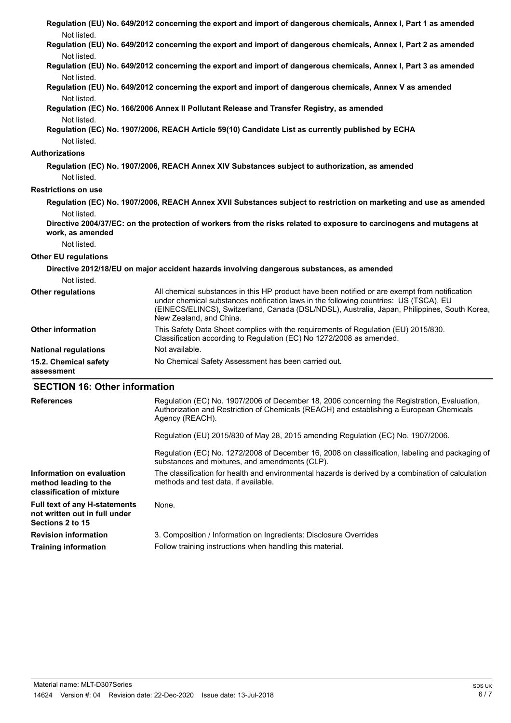| Not listed.                                        | Regulation (EU) No. 649/2012 concerning the export and import of dangerous chemicals, Annex I, Part 1 as amended                                                                                                                                                                                                  |
|----------------------------------------------------|-------------------------------------------------------------------------------------------------------------------------------------------------------------------------------------------------------------------------------------------------------------------------------------------------------------------|
| Not listed.                                        | Regulation (EU) No. 649/2012 concerning the export and import of dangerous chemicals, Annex I, Part 2 as amended                                                                                                                                                                                                  |
| Not listed.                                        | Regulation (EU) No. 649/2012 concerning the export and import of dangerous chemicals, Annex I, Part 3 as amended                                                                                                                                                                                                  |
|                                                    | Regulation (EU) No. 649/2012 concerning the export and import of dangerous chemicals, Annex V as amended                                                                                                                                                                                                          |
| Not listed.                                        | Regulation (EC) No. 166/2006 Annex II Pollutant Release and Transfer Registry, as amended                                                                                                                                                                                                                         |
| Not listed.<br>Not listed.                         | Regulation (EC) No. 1907/2006, REACH Article 59(10) Candidate List as currently published by ECHA                                                                                                                                                                                                                 |
| <b>Authorizations</b>                              |                                                                                                                                                                                                                                                                                                                   |
| Not listed.                                        | Regulation (EC) No. 1907/2006, REACH Annex XIV Substances subject to authorization, as amended                                                                                                                                                                                                                    |
| <b>Restrictions on use</b>                         |                                                                                                                                                                                                                                                                                                                   |
| Not listed.                                        | Regulation (EC) No. 1907/2006, REACH Annex XVII Substances subject to restriction on marketing and use as amended<br>Directive 2004/37/EC: on the protection of workers from the risks related to exposure to carcinogens and mutagens at                                                                         |
| work, as amended<br>Not listed.                    |                                                                                                                                                                                                                                                                                                                   |
| <b>Other EU regulations</b>                        |                                                                                                                                                                                                                                                                                                                   |
|                                                    | Directive 2012/18/EU on major accident hazards involving dangerous substances, as amended                                                                                                                                                                                                                         |
| Not listed.                                        |                                                                                                                                                                                                                                                                                                                   |
| <b>Other regulations</b>                           | All chemical substances in this HP product have been notified or are exempt from notification<br>under chemical substances notification laws in the following countries: US (TSCA), EU<br>(EINECS/ELINCS), Switzerland, Canada (DSL/NDSL), Australia, Japan, Philippines, South Korea,<br>New Zealand, and China. |
| <b>Other information</b>                           | This Safety Data Sheet complies with the requirements of Regulation (EU) 2015/830.<br>Classification according to Regulation (EC) No 1272/2008 as amended.                                                                                                                                                        |
| <b>National regulations</b>                        | Not available.                                                                                                                                                                                                                                                                                                    |
| 15.2. Chemical safety<br>assessment                | No Chemical Safety Assessment has been carried out.                                                                                                                                                                                                                                                               |
| <b>SECTION 16: Other information</b>               |                                                                                                                                                                                                                                                                                                                   |
| <b>References</b>                                  | Regulation (EC) No. 1907/2006 of December 18, 2006 concerning the Registration, Evaluation,<br>Authorization and Restriction of Chemicals (REACH) and establishing a European Chemicals<br>Agency (REACH).                                                                                                        |
|                                                    | Regulation (EU) 2015/830 of May 28, 2015 amending Regulation (EC) No. 1907/2006.                                                                                                                                                                                                                                  |
|                                                    | Regulation (EC) No. 1272/2008 of December 16, 2008 on classification, labeling and packaging of<br>substances and mixtures, and amendments (CLP).                                                                                                                                                                 |
| Information on evaluation<br>method leading to the | The classification for health and environmental hazards is derived by a combination of calculation<br>methods and test data, if available.                                                                                                                                                                        |

**classification of mixture Full text of any H-statements** None. **not written out in full under Sections 2 to 15**

**Revision information** 3. Composition / Information on Ingredients: Disclosure Overrides **Training information** Follow training instructions when handling this material.